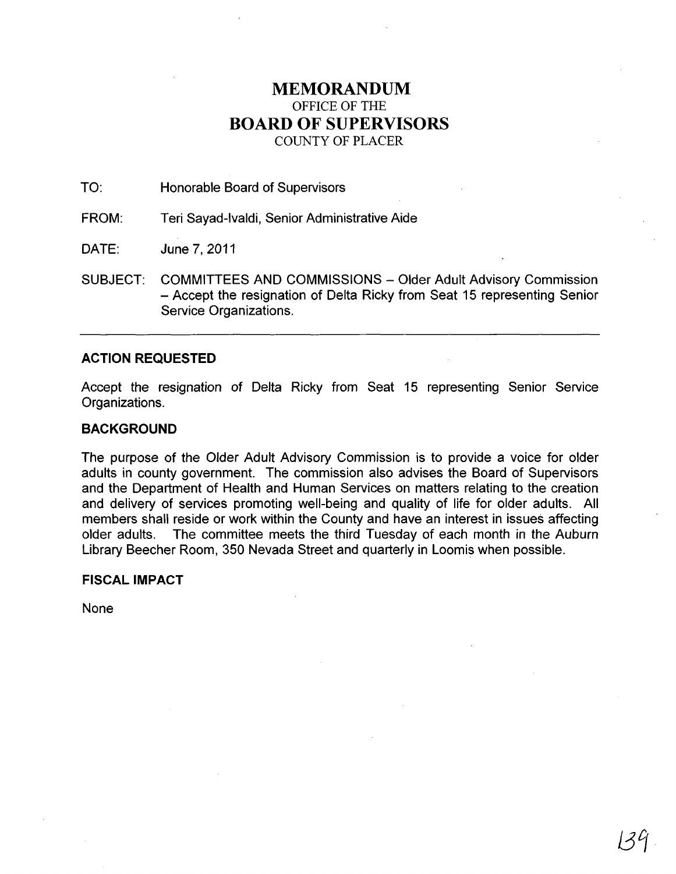# **MEMORANDUM**  OFFICE OF THE **BOARD OF SUPERVISORS**  COUNTY OF PLACER

TO: Honorable Board of Supervisors

FROM: Teri Sayad-Ivaldi, Senior Administrative Aide

DATE: June 7,2011

SUBJECT: COMMITTEES AND COMMISSIONS - Older Adult Advisory Commission - Accept the resignation of Delta Ricky from Seat 15 representing Senior Service Organizations.

## **ACTION REQUESTED**

Accept the resignation of Delta Ricky from Seat 15 representing Senior Service Organizations.

## **BACKGROUND**

The purpose of the Older Adult Advisory Commission is to provide a voice for older adults in county government. The commission also advises the Board of Supervisors and the Department of Health and Human Services on matters relating to the creation and delivery of services promoting well-being and quality of life for older adults. All members shall reside or work within the County and have an interest in issues affecting older adults. The committee meets the third Tuesday of each month in the Auburn Library Beecher Room, 350 Nevada Street and quarterly in Loomis when possible.

## **FISCAL IMPACT**

None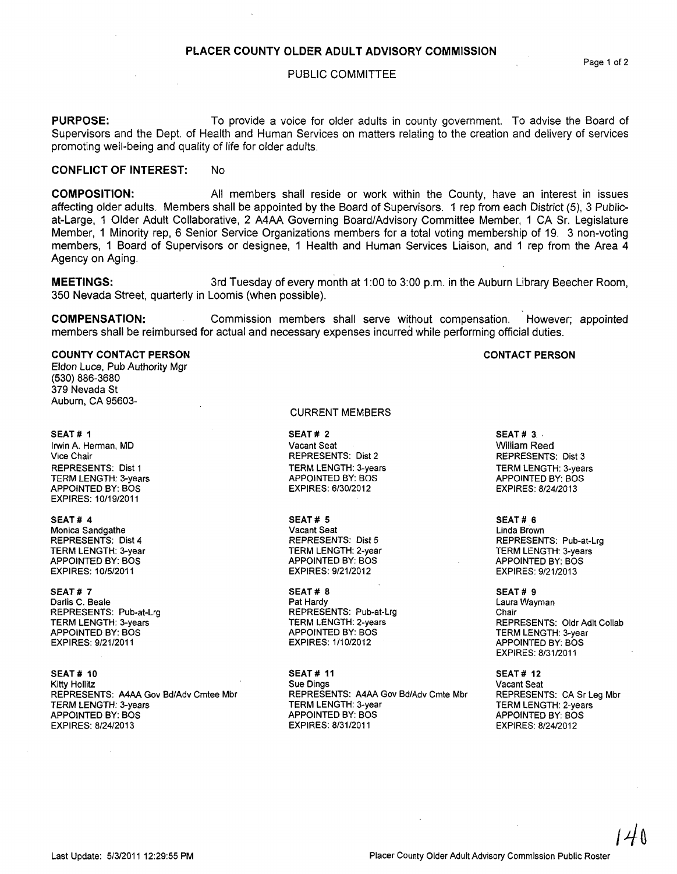## PLACER COUNTY OLDER ADULT ADVISORY COMMISSION

#### PUBLIC COMMITTEE

PURPOSE: To provide a voice for older adults in county government. To advise the Board of Supervisors and the Dept. of Health and Human Services on matters relating to the creation and delivery of services promoting well-being and quality of life for older adults.

## CONFLICT OF INTEREST: No

COMPOSITION: All members shall reside or work within the County, have an interest in issues affecting older adults. Members shall be appointed by the Board of Supervisors. 1 rep from each District (5), 3 Publicat-Large, 1 Older Adult Collaborative, 2 A4AA Governing Board/Advisory Committee Member, 1 CA Sr. Legislature Member, 1 Minority rep, 6 Senior Service Organizations members for a total voting membership of 19. 3 non-voting members, 1 Board of Supervisors or designee, 1 Health and Human Services Liaison, and 1 rep from the Area 4 Agency on Aging.

**MEETINGS:** 3rd Tuesday of every month at 1:00 to 3:00 p.m. in the Auburn Library Beecher Room, 350 Nevada Street, quarterly in Loomis (when possible).

COMPENSATION: Commission members shall serve without compensation. However; appointed members shall be reimbursed for actual and necessary expenses incurred while performing official duties.

### COUNTY CONTACT PERSON

Eldon Luce, Pub Authority Mgr (530) 886-3680 379 Nevada St Auburn, CA 95603-

#### SEAT # 1

Irwin A. Herman, MD Vice Chair REPRESENTS: Dist 1 TERM LENGTH: 3-years APPOINTED BY: BOS EXPIRES: 10/19/2011

#### SEAT# 4

Monica Sandgathe REPRESENTS: Dist 4 TERM LENGTH: 3-year APPOINTED BY: BOS EXPIRES: 10/5/2011

#### SEAT# 7

Darlis C. Beale REPRESENTS: PUb-at-Lrg TERM LENGTH: 3-years APPOINTED BY: BOS EXPIRES: 9/21/2011

SEAT # 10 Kitty Hollitz REPRESENTS: A4AA Gov Bd/Adv Cmtee Mbr TERM LENGTH: 3-years APPOINTED BY: BOS EXPIRES: 8/24/2013

#### CURRENT MEMBERS

SEAT# 2 Vacant Seat REPRESENTS: Dist 2 TERM LENGTH: 3-years APPOINTED BY: BOS EXPIRES: 6/30/2012

SEAT# 5 Vacant Seat REPRESENTS: Dist 5 TERM LENGTH: 2-year APPOINTED BY: BOS EXPIRES: 9/21/2012

SEAT# 8 Pat Hardy REPRESENTS: Pub-at-Lrg TERM LENGTH: 2-years APPOINTED BY: BOS **EXPIRES: 1/10/2012** 

SEAT# 11 Sue Dings REPRESENTS: A4AA Gov Bd/Adv Cmte Mbr TERM LENGTH: 3-year APPOINTED BY: BOS EXPIRES: 8/31/2011

 $SEAT# 3.$ William Reed REPRESENTS: Dist 3 TERM LENGTH: 3-years APPOINTED BY: BOS EXPIRES: 8/24/2013

#### SEAT# 6 Linda Brown REPRESENTS: Pub-at-Lrg TERM LENGTH: 3-years APPOINTED BY: BOS EXPIRES: 9/21/2013

SEAT # 9 Laura Wayman Chair REPRESENTS: Oldr Adlt Collab TERM LENGTH: 3-year APPOINTED BY: BOS EXPIRES: 8/31/2011

SEAT# 12 Vacant Seat REPRESENTS: CA Sr Leg Mbr TERM LENGTH: 2-years APPOINTED BY: BOS EXPIRES: 8/24/2012

CONTACT PERSON